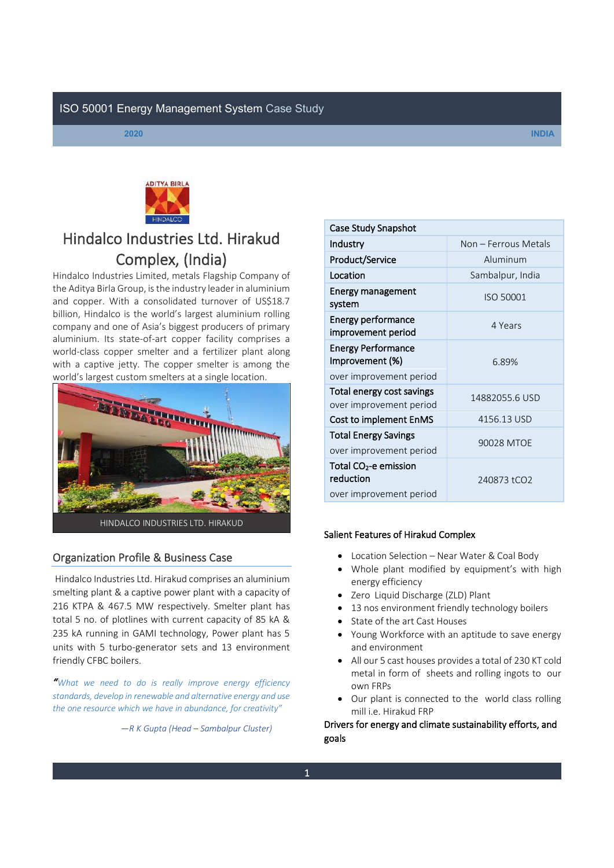



# Hindalco Industries Ltd. Hirakud **Complex, (India)**<br>Hindalco Industries Limited, metals Flagship Company of

the Aditya Birla Group, is the industry leader in aluminium and copper. With a consolidated turnover of US\$18.7 billion, Hindalco is the world's largest aluminium rolling company and one of Asia's biggest producers of primary aluminium. Its state-of-art copper facility comprises a world-class copper smelter and a fertilizer plant along with a captive jetty. The copper smelter is among the world's largest custom smelters at a single location.



# Organization Profile & Business Case

Hindalco Industries Ltd. Hirakud comprises an aluminium smelting plant & a captive power plant with a capacity of 216 KTPA & 467.5 MW respectively. Smelter plant has total 5 no. of plotlines with current capacity of 85 kA & 235 kA running in GAMI technology, Power plant has 5 units with 5 turbo-generator sets and 13 environment friendly CFBC boilers.

*͞What we need to do is really improve energy efficiency standards, develop in renewable and alternative energy and use*  the one resource which we have in abundance, for creativity"

 $-R$  *K* Gupta (Head – Sambalpur Cluster)

| Case Study Snapshot                                                       |                      |  |  |
|---------------------------------------------------------------------------|----------------------|--|--|
| Industry                                                                  | Non – Ferrous Metals |  |  |
| <b>Product/Service</b>                                                    | Aluminum             |  |  |
| Location                                                                  | Sambalpur, India     |  |  |
| Energy management<br>system                                               | <b>ISO 50001</b>     |  |  |
| <b>Energy performance</b><br>improvement period                           | 4 Years              |  |  |
| <b>Energy Performance</b><br>Improvement (%)                              | 6.89%                |  |  |
| over improvement period                                                   |                      |  |  |
| Total energy cost savings<br>over improvement period                      | 14882055.6 USD       |  |  |
| Cost to implement EnMS                                                    | 4156.13 USD          |  |  |
| <b>Total Energy Savings</b><br>over improvement period                    | 90028 MTOF           |  |  |
| Total CO <sub>2</sub> -e emission<br>reduction<br>over improvement period | 240873 tCO2          |  |  |
|                                                                           |                      |  |  |

#### Salient Features of Hirakud Complex

- Location Selection Near Water & Coal Body
- Whole plant modified by equipment's with high energy efficiency
- Zero Liquid Discharge (ZLD) Plant
- 13 nos environment friendly technology boilers
- State of the art Cast Houses
- Young Workforce with an aptitude to save energy and environment
- All our 5 cast houses provides a total of 230 KT cold metal in form of sheets and rolling ingots to our own FRPs
- Our plant is connected to the world class rolling mill i.e. Hirakud FRP

Drivers for energy and climate sustainability efforts, and goals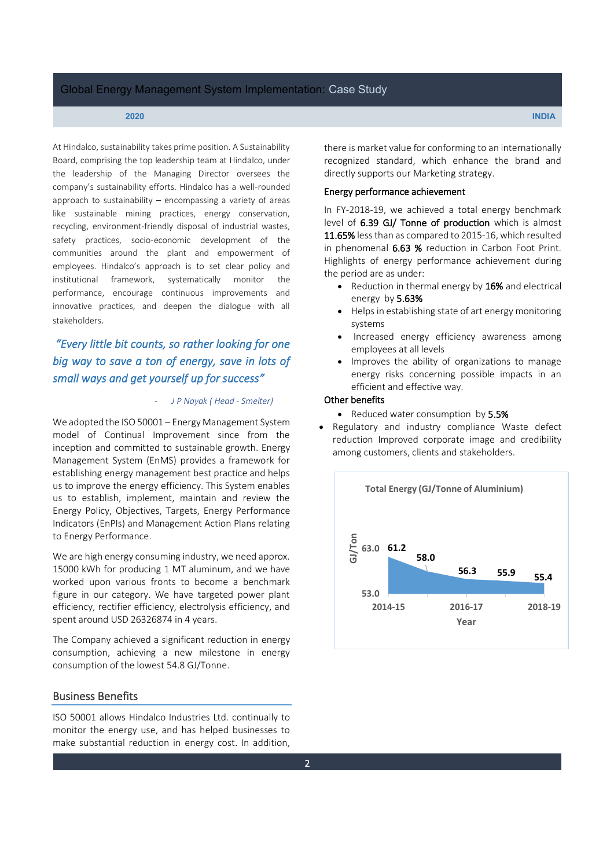At Hindalco, sustainability takes prime position. A Sustainability Board, comprising the top leadership team at Hindalco, under the leadership of the Managing Director oversees the company's sustainability efforts. Hindalco has a well-rounded approach to sustainability  $-$  encompassing a variety of areas like sustainable mining practices, energy conservation, recycling, environment-friendly disposal of industrial wastes, safety practices, socio-economic development of the communities around the plant and empowerment of employees. Hindalco's approach is to set clear policy and institutional framework, systematically monitor the performance, encourage continuous improvements and innovative practices, and deepen the dialogue with all stakeholders.

# *͞Every little bit counts, so rather looking for one big way to save a ton of energy, save in lots of small ways and get yourself up for success͟*

#### - *J P Nayak ( Head - Smelter)*

We adopted the ISO 50001  $-$  Energy Management System model of Continual Improvement since from the inception and committed to sustainable growth. Energy Management System (EnMS) provides a framework for establishing energy management best practice and helps us to improve the energy efficiency. This System enables us to establish, implement, maintain and review the Energy Policy, Objectives, Targets, Energy Performance Indicators (EnPIs) and Management Action Plans relating to Energy Performance.

We are high energy consuming industry, we need approx. 15000 kWh for producing 1 MT aluminum, and we have worked upon various fronts to become a benchmark figure in our category. We have targeted power plant efficiency, rectifier efficiency, electrolysis efficiency, and spent around USD 26326874 in 4 years.

The Company achieved a significant reduction in energy consumption, achieving a new milestone in energy consumption of the lowest 54.8 GJ/Tonne.

#### Business Benefits

ISO 50001 allows Hindalco Industries Ltd. continually to monitor the energy use, and has helped businesses to make substantial reduction in energy cost. In addition, there is market value for conforming to an internationally recognized standard, which enhance the brand and directly supports our Marketing strategy.

#### Energy performance achievement

In FY-2018-19, we achieved a total energy benchmark level of 6.39 GJ/ Tonne of production which is almost 11.65% less than as compared to 2015-16, which resulted in phenomenal 6.63 % reduction in Carbon Foot Print. Highlights of energy performance achievement during the period are as under:

- $\bullet$  Reduction in thermal energy by 16% and electrical energy by 5.63%
- Helps in establishing state of art energy monitoring systems
- Increased energy efficiency awareness among employees at all levels
- Improves the ability of organizations to manage energy risks concerning possible impacts in an efficient and effective way.

### Other benefits

- Reduced water consumption by 5.5%
- Regulatory and industry compliance Waste defect reduction Improved corporate image and credibility among customers, clients and stakeholders.

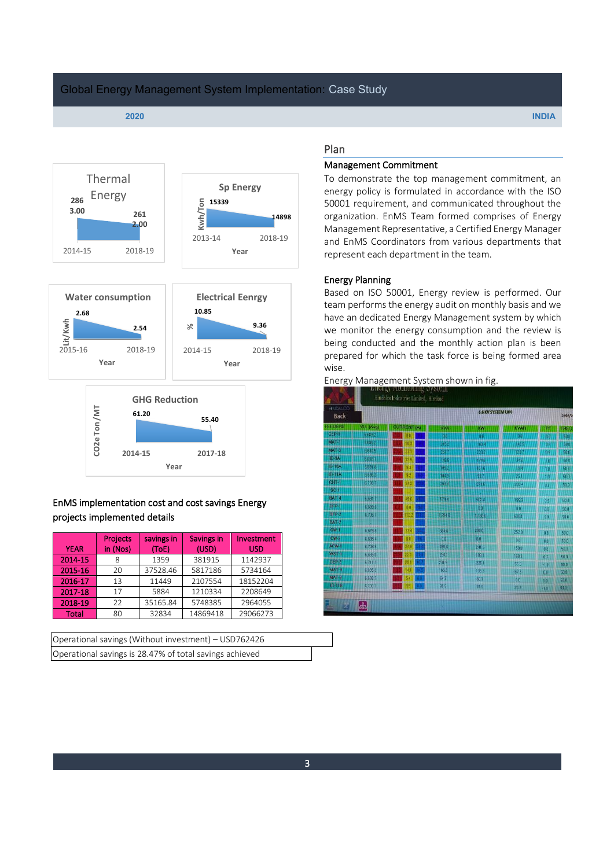



# EnMS implementation cost and cost savings Energy projects implemented details

|              | <b>Projects</b> | savings in | Savings in | Investment |
|--------------|-----------------|------------|------------|------------|
| <b>YEAR</b>  | in (Nos)        | (ToE)      | (USD)      | <b>USD</b> |
| 2014-15      |                 | 1359       | 381915     | 1142937    |
| 2015-16      | 20              | 37528.46   | 5817186    | 5734164    |
| 2016-17      | 13              | 11449      | 2107554    | 18152204   |
| 2017-18      | 17              | 5884       | 1210334    | 2208649    |
| 2018-19      | 22              | 35165.84   | 5748385    | 2964055    |
| <b>Total</b> | 80              | 32834      | 14869418   | 29066273   |

| Operational savings (Without investment) – USD762426    |  |
|---------------------------------------------------------|--|
| Operational savings is 28.47% of total savings achieved |  |

# Plan

### Management Commitment

To demonstrate the top management commitment, an energy policy is formulated in accordance with the ISO 50001 requirement, and communicated throughout the organization. EnMS Team formed comprises of Energy Management Representative, a Certified Energy Manager and EnMS Coordinators from various departments that represent each department in the team.

#### Energy Planning

Based on ISO 50001, Energy review is performed. Our team performs the energy audit on monthly basis and we have an dedicated Energy Management system by which we monitor the energy consumption and the review is being conducted and the monthly action plan is been prepared for which the task force is being formed area wise.

Energy Management System shown in fig.

| HINDALCO<br>Back                     |           | 6.6 KV SYSTEM U#4  |            |       |                |        |                          |
|--------------------------------------|-----------|--------------------|------------|-------|----------------|--------|--------------------------|
| <b>TEDERS</b>                        | VLL (Avg) | <b>CURRENT (A)</b> | <b>KVA</b> | KW    | <b>KVAR</b>    | PF     | FREC                     |
| <b>CEP-1</b><br>8995                 |           |                    |            |       |                | ŌΟ     |                          |
| MAT-<br>800000                       |           |                    |            | EU.   |                |        |                          |
| $MAT-3$<br>nishdri k                 |           |                    |            |       |                |        | 500<br>500<br>500<br>500 |
| <b>ID-9A</b><br>18022000001          |           |                    |            |       |                |        |                          |
| <b>ID-10A</b>                        |           |                    |            |       |                | 10     | 500                      |
| $10 - 112$<br>******                 |           |                    | m          |       |                |        | 50.0                     |
| <b>CHT-1</b><br>magani               | 6,700.    |                    | 1942       |       | 194999<br>283. | 0.7    | 50.0                     |
| $80-$                                |           |                    |            |       |                |        |                          |
| <b>BAT-4</b><br>0000000000           | 6.691.    |                    | 579.       |       | 1999           | 09     | 500                      |
| $HFP-1$                              | 6,699.6   |                    |            | 99    | 0.0            | 0.0    | 50.0                     |
| $BFP-2$                              | 67057     |                    | 2948       | 130.6 | 630.1          | 0.9    | 50.0                     |
| <b>BAT-2</b>                         |           |                    |            |       |                |        |                          |
| $c - 1$<br><u>Institute politice</u> | 66788     |                    | 3846       | 5800  | 252.0          | 08     | 50.0                     |
| $CN-2$                               | 6,6984    |                    | 80         | 0.0   | 0.0            | 0.0    | 500                      |
| ACW-1                                | 6,708.5   |                    | 285.6      | 2415  | 1590           | 0.8    | 50.0                     |
| WST-1                                | 6,685.0   |                    | 254.1      | 189.1 | 1693           | 0.7    | 50.0                     |
| CEP-2                                | 6711.1    | 18.                | 231.9      | 225.1 | 55.6           | $-10$  | 50.0                     |
| MAT-4                                | 6,685.3   |                    | 1652       | 136.3 | 676            | 0.8    | 50.0                     |
| MAT-2                                | 6,688.7   |                    | 647        | 60.1  | 00             | 10     | 50.0                     |
| ID-11B                               | 6,700.1   |                    | 95.5       | 91.9  | 259            | $-1.0$ | 50.0                     |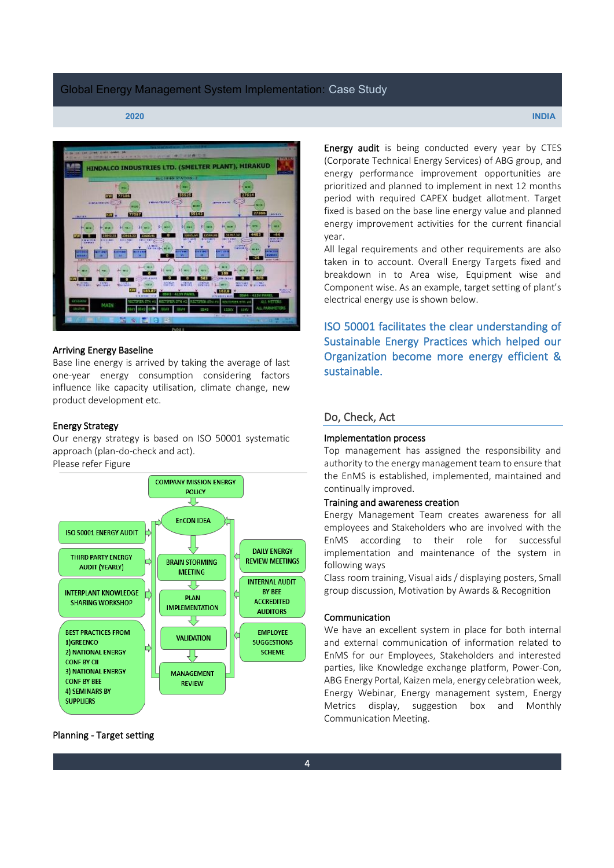

#### Arriving Energy Baseline

Base line energy is arrived by taking the average of last one-year energy consumption considering factors influence like capacity utilisation, climate change, new product development etc.

#### Energy Strategy

Our energy strategy is based on ISO 50001 systematic approach (plan-do-check and act). Please refer Figure



Planning - Target setting

Energy audit is being conducted every year by CTES (Corporate Technical Energy Services) of ABG group, and energy performance improvement opportunities are prioritized and planned to implement in next 12 months period with required CAPEX budget allotment. Target fixed is based on the base line energy value and planned energy improvement activities for the current financial year.

All legal requirements and other requirements are also taken in to account. Overall Energy Targets fixed and breakdown in to Area wise, Equipment wise and Component wise. As an example, target setting of plant's electrical energy use is shown below.

ISO 50001 facilitates the clear understanding of Sustainable Energy Practices which helped our Organization become more energy efficient & sustainable.

# Do, Check, Act

#### Implementation process

Top management has assigned the responsibility and authority to the energy management team to ensure that the EnMS is established, implemented, maintained and continually improved.

#### Training and awareness creation

Energy Management Team creates awareness for all employees and Stakeholders who are involved with the EnMS according to their role for successful implementation and maintenance of the system in following ways

Class room training, Visual aids / displaying posters, Small group discussion, Motivation by Awards & Recognition

#### Communication

We have an excellent system in place for both internal and external communication of information related to EnMS for our Employees, Stakeholders and interested parties, like Knowledge exchange platform, Power-Con, ABG Energy Portal, Kaizen mela, energy celebration week, Energy Webinar, Energy management system, Energy Metrics display, suggestion box and Monthly Communication Meeting.

**2020 INDIA**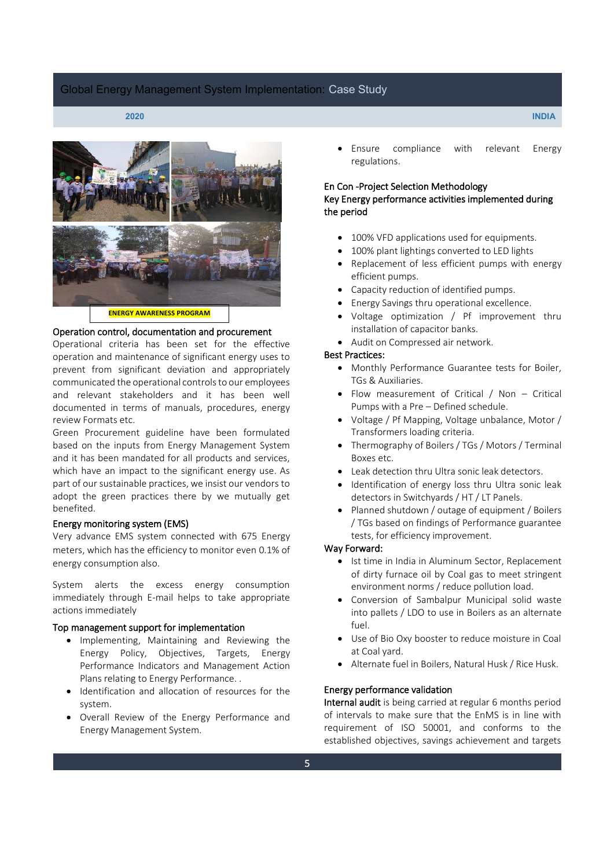

#### Operation control, documentation and procurement

Operational criteria has been set for the effective operation and maintenance of significant energy uses to prevent from significant deviation and appropriately communicated the operational controls to our employees and relevant stakeholders and it has been well documented in terms of manuals, procedures, energy review Formats etc.

Green Procurement guideline have been formulated based on the inputs from Energy Management System and it has been mandated for all products and services, which have an impact to the significant energy use. As part of our sustainable practices, we insist our vendors to adopt the green practices there by we mutually get benefited.

#### Energy monitoring system (EMS)

Very advance EMS system connected with 675 Energy meters, which has the efficiency to monitor even 0.1% of energy consumption also.

System alerts the excess energy consumption immediately through E-mail helps to take appropriate actions immediately

#### Top management support for implementation

- Implementing, Maintaining and Reviewing the Energy Policy, Objectives, Targets, Energy Performance Indicators and Management Action Plans relating to Energy Performance. .
- Identification and allocation of resources for the system.
- Overall Review of the Energy Performance and Energy Management System.

Ensure compliance with relevant Energy regulations.

#### En Con -Project Selection Methodology

# Key Energy performance activities implemented during the period

- 100% VFD applications used for equipments.
- 100% plant lightings converted to LED lights
- Replacement of less efficient pumps with energy efficient pumps.
- Capacity reduction of identified pumps.
- Energy Savings thru operational excellence.
- Voltage optimization / Pf improvement thru installation of capacitor banks.
- Audit on Compressed air network.

# Best Practices:

- Monthly Performance Guarantee tests for Boiler, TGs & Auxiliaries.
- Flow measurement of Critical / Non  $-$  Critical Pumps with a Pre - Defined schedule.
- Voltage / Pf Mapping, Voltage unbalance, Motor / Transformers loading criteria.
- Thermography of Boilers / TGs / Motors / Terminal Boxes etc.
- Leak detection thru Ultra sonic leak detectors.
- Identification of energy loss thru Ultra sonic leak detectors in Switchyards / HT / LT Panels.
- Planned shutdown / outage of equipment / Boilers / TGs based on findings of Performance guarantee tests, for efficiency improvement.

#### Way Forward:

- Ist time in India in Aluminum Sector, Replacement of dirty furnace oil by Coal gas to meet stringent environment norms / reduce pollution load.
- Conversion of Sambalpur Municipal solid waste into pallets / LDO to use in Boilers as an alternate fuel.
- Use of Bio Oxy booster to reduce moisture in Coal at Coal yard.
- Alternate fuel in Boilers, Natural Husk / Rice Husk.

### Energy performance validation

Internal audit is being carried at regular 6 months period of intervals to make sure that the EnMS is in line with requirement of ISO 50001, and conforms to the established objectives, savings achievement and targets